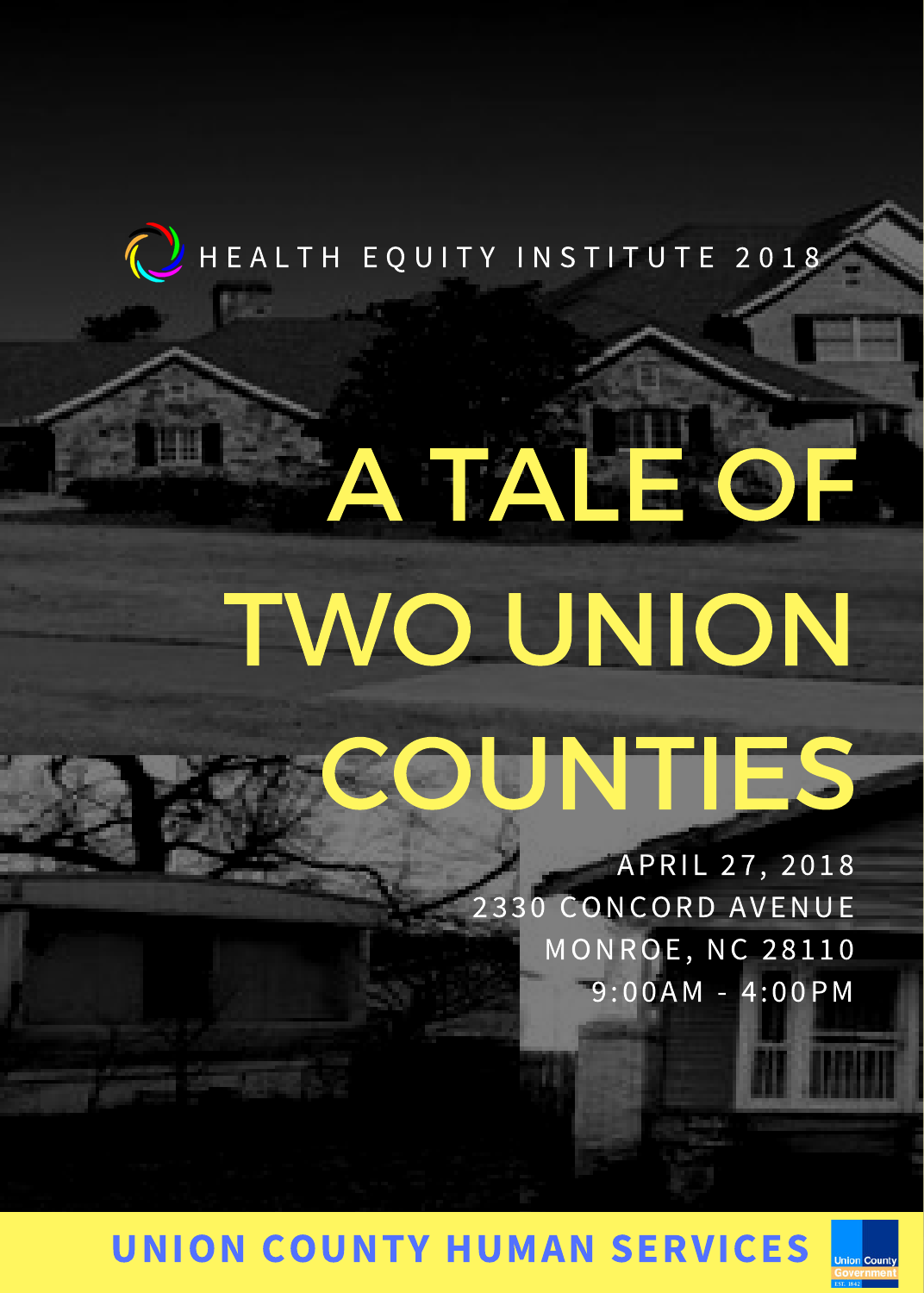# A TALE OF TWO UNION COUNTIES

iAPRIL 27, 2018 2330 CONCORD AVENUE MONROE, NC 28110 9:00AM - 4:00PM

# UNION COUNTY HUMAN SERVICES

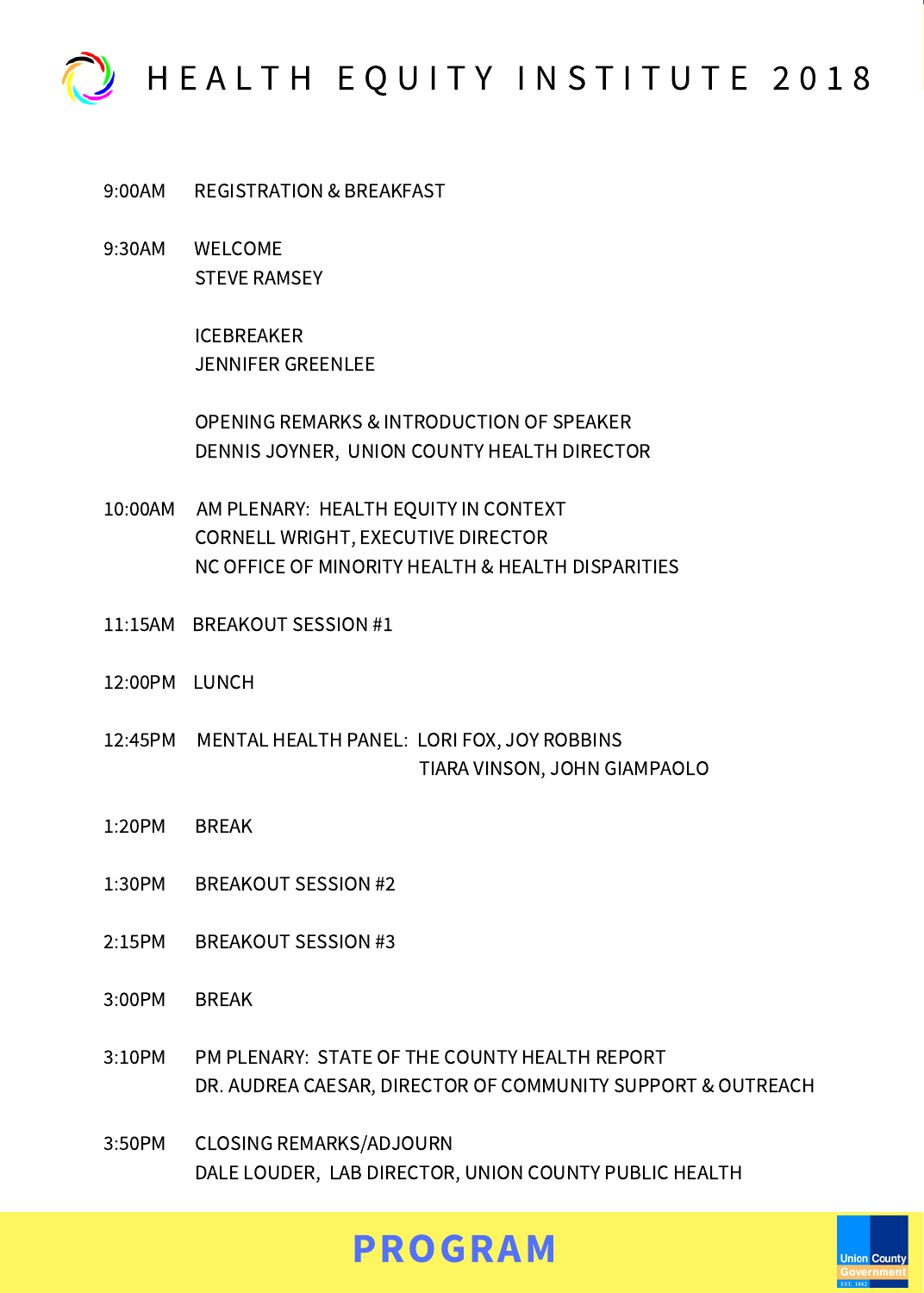

9:00AM REGISTRATION & BREAKFAST

9:30AM WELCOME STEVE RAMSEY

> ICEBREAKER JENNIFER GREENLEE

OPENING REMARKS & INTRODUCTION OF SPEAKER DENNIS JOYNER, UNION COUNTY HEALTH DIRECTOR

- 10:00AM AM PLENARY: HEALTH EQUITY IN CONTEXT CORNELL WRIGHT, EXECUTIVE DIRECTOR NC OFFICE OF MINORITY HEALTH & HEALTH DISPARITIES
- 11:15AM BREAKOUT SESSION #1
- 12:00PM LUNCH
- 12:45PM MENTAL HEALTH PANEL: LORI FOX, JOY ROBBINS TIARA VINSON, JOHN GIAMPAOLO
- 1:20PM BREAK
- 1:30PM BREAKOUT SESSION #2
- 2:15PM BREAKOUT SESSION #3
- 3:00PM BREAK
- 3:10PM PM PLENARY: STATE OF THE COUNTY HEALTH REPORT DR. AUDREA CAESAR, DIRECTOR OF COMMUNITY SUPPORT & OUTREACH
- 3:50PM CLOSING REMARKS/ADJOURN DALE LOUDER, LAB DIRECTOR, UNION COUNTY PUBLIC HEALTH

# PROGRAM

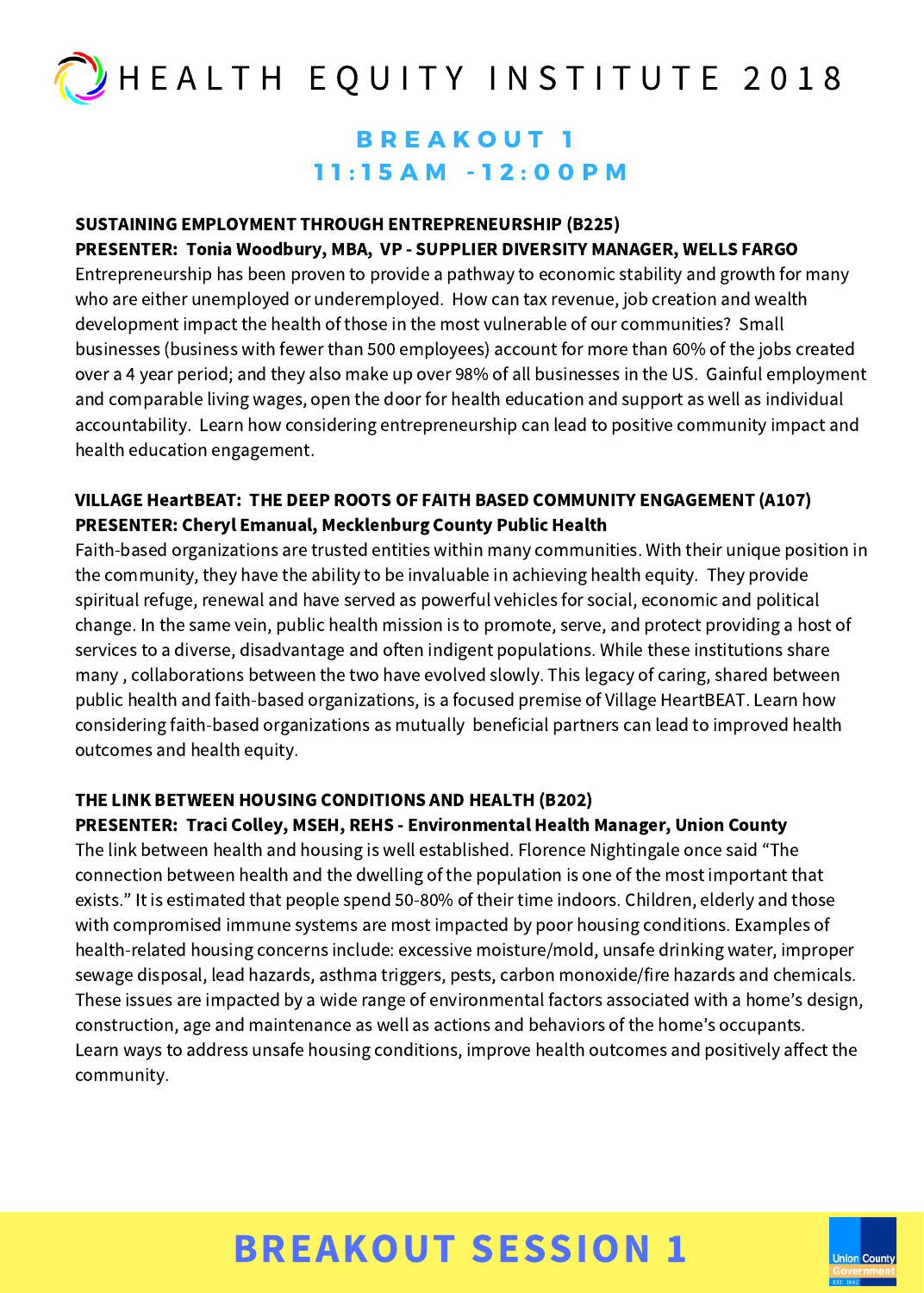### B R E A K O U T 1 1 1 : 1 5 A M - 1 2 : 0 0 P M

### SUSTAINING EMPLOYMENT THROUGH ENTREPRENEURSHIP (B225) PRESENTER: Tonia Woodbury, MBA, VP - SUPPLIER DIVERSITY MANAGER, WELLS FARGO

Entrepreneurship has been proven to provide a pathway to economic stability and growth for many who are either unemployed or underemployed. How can tax revenue, job creation and wealth development impact the health of those in the most vulnerable of our communities? Small businesses (business with fewer than 500 employees) account for more than 60% of the jobs created over a 4 year period; and they also make up over 98% of all businesses in the US. Gainful employment and comparable living wages, open the door for health education and support as well as individual accountability. Learn how considering entrepreneurship can lead to positive community impact and health education engagement.

### VILLAGE HeartBEAT: THE DEEP ROOTS OF FAITH BASED COMMUNITY ENGAGEMENT (A107) PRESENTER: Cheryl Emanual, Mecklenburg County Public Health

Faith-based organizations are trusted entities within many communities. With their unique position in the community, they have the ability to be invaluable in achieving health equity. They provide spiritual refuge, renewal and have served as powerful vehicles for social, economic and political change. In the same vein, public health mission is to promote, serve, and protect providing a host of services to a diverse, disadvantage and often indigent populations. While these institutions share many , collaborations between the two have evolved slowly. This legacy of caring, shared between public health and faith-based organizations, is a focused premise of Village HeartBEAT. Learn how considering faith-based organizations as mutually beneficial partners can lead to improved health outcomes and health equity.

### THE LINK BETWEEN HOUSING CONDITIONS AND HEALTH (B202)

### PRESENTER: Traci Colley, MSEH, REHS - Environmental Health Manager, Union County

The link between health and housing is well established. Florence Nightingale once said "The connection between health and the dwelling of the population is one of the most important that exists." It is estimated that people spend 50-80% of their time indoors. Children, elderly and those with compromised immune systems are most impacted by poor housing conditions. Examples of health-related housing concerns include: excessive moisture/mold, unsafe drinking water, improper sewage disposal, lead hazards, asthma triggers, pests, carbon monoxide/fire hazards and chemicals. These issues are impacted by a wide range of environmental factors associated with a home's design, construction, age and maintenance as well as actions and behaviors of the home's occupants. Learn ways to address unsafe housing conditions, improve health outcomes and positively affect the community.

# BREAKOUT SESSION 1

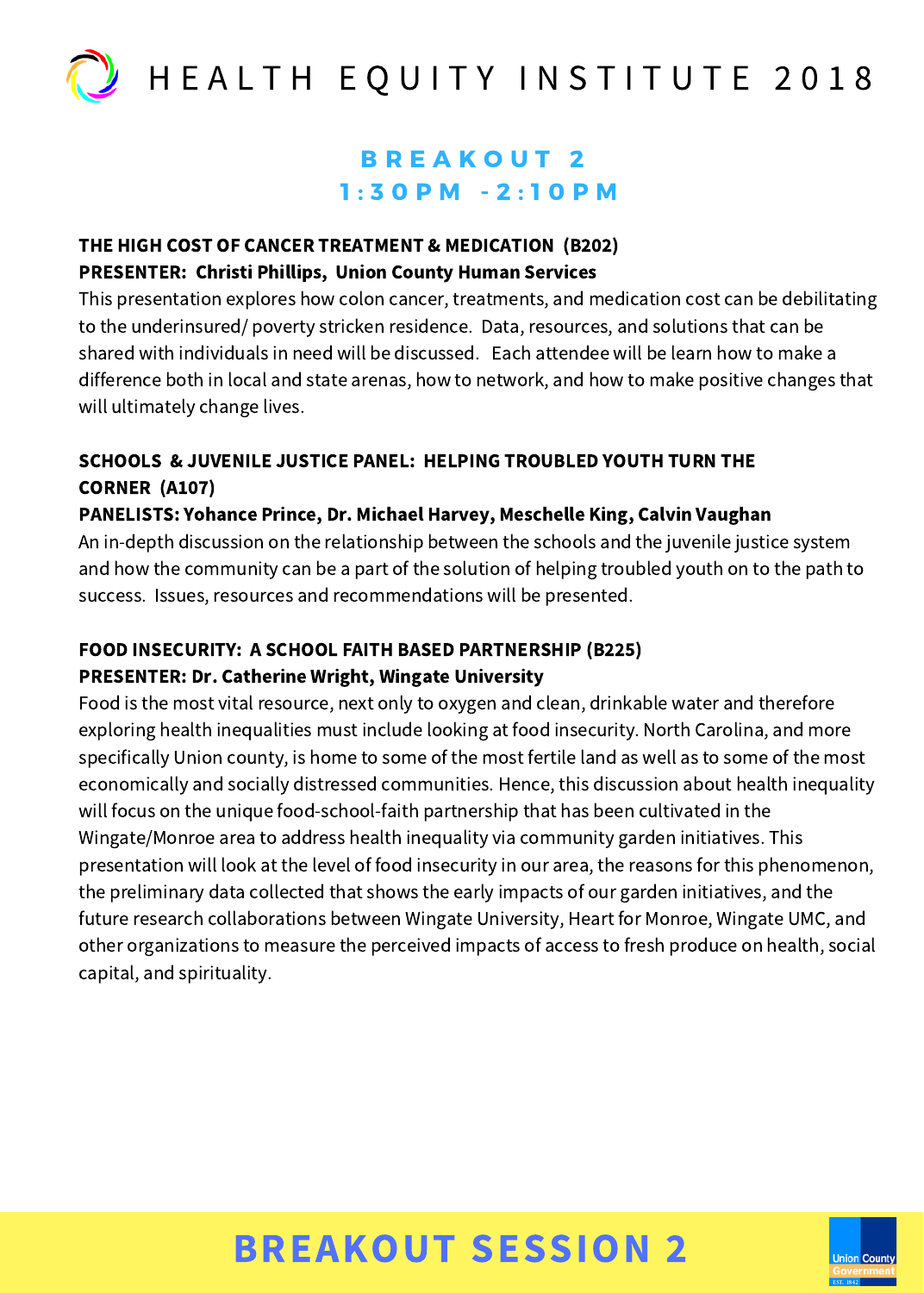

### **B R E A K O U T 2**  $1: 3 0 P M - 2: 1 0 P M$

### THE HIGH COST OF CANCER TREATMENT & MEDICATION (B202) PRESENTER: Christi Phillips, Union County Human Services

This presentation explores how colon cancer, treatments, and medication cost can be debilitating to the underinsured/ poverty stricken residence. Data, resources, and solutions that can be shared with individuals in need will be discussed. Each attendee will be learn how to make a difference both in local and state arenas, how to network, and how to make positive changes that will ultimately change lives.

### SCHOOLS & JUVENILE JUSTICE PANEL: HELPING TROUBLED YOUTH TURN THE CORNER (A107)

### PANELISTS: Yohance Prince, Dr. Michael Harvey, Meschelle King, Calvin Vaughan

An in-depth discussion on the relationship between the schools and the juvenile justice system and how the community can be a part of the solution of helping troubled youth on to the path to success. Issues, resources and recommendations will be presented.

### FOOD INSECURITY: A SCHOOL FAITH BASED PARTNERSHIP (B225) PRESENTER: Dr. Catherine Wright, Wingate University

Food is the most vital resource, next only to oxygen and clean, drinkable water and therefore exploring health inequalities must include looking at food insecurity. North Carolina, and more specifically Union county, is home to some of the most fertile land as well as to some of the most economically and socially distressed communities. Hence, this discussion about health inequality will focus on the unique food-school-faith partnership that has been cultivated in the Wingate/Monroe area to address health inequality via community garden initiatives. This presentation will look at the level of food insecurity in our area, the reasons for this phenomenon, the preliminary data collected that shows the early impacts of our garden initiatives, and the future research collaborations between Wingate University, Heart for Monroe, Wingate UMC, and other organizations to measure the perceived impacts of access to fresh produce on health, social capital, and spirituality.

# BREAKOUT SESSION 2

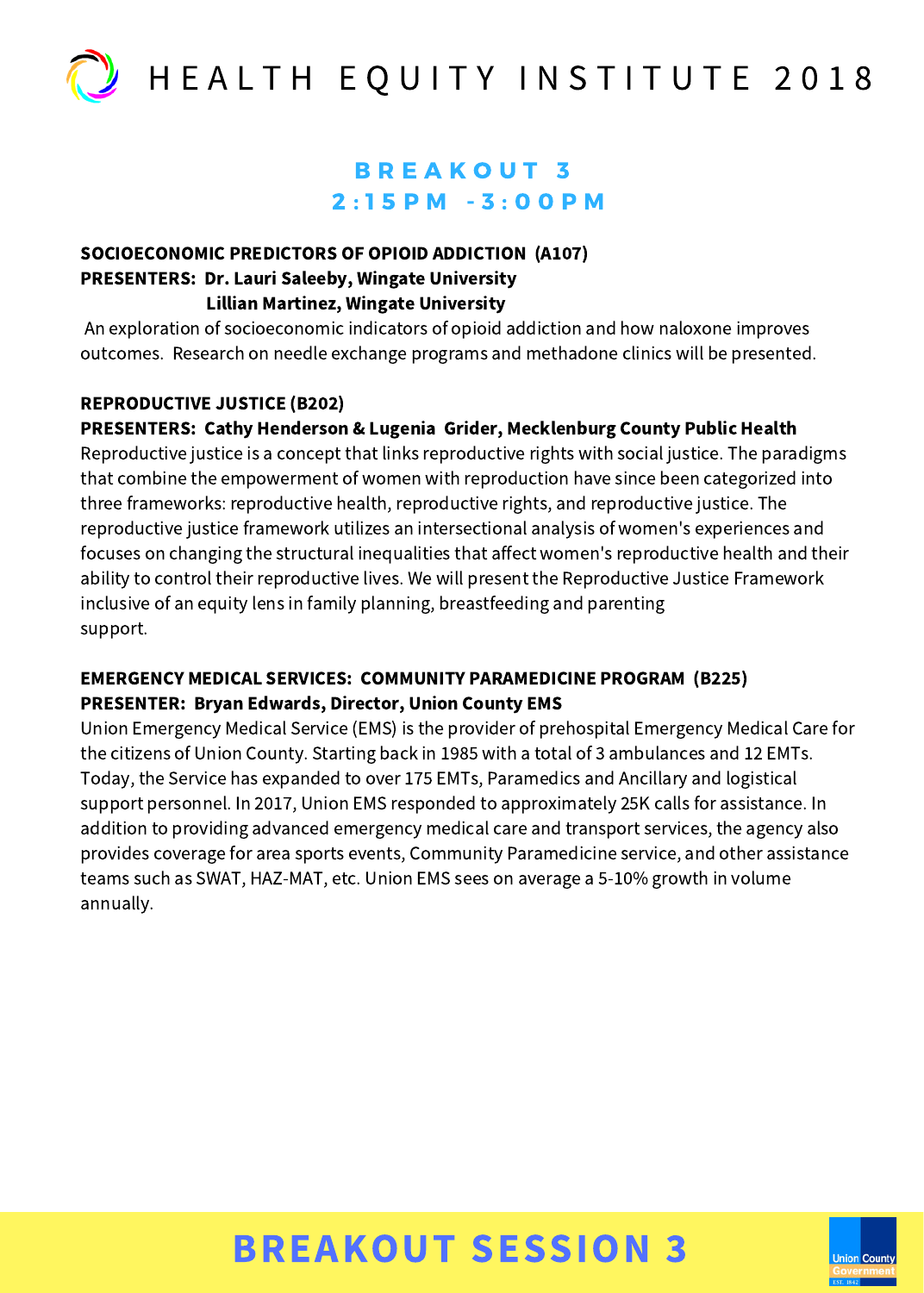

### B R E A K O U T 3  $2:15$  PM  $-3:00$  PM

#### SOCIOECONOMIC PREDICTORS OF OPIOID ADDICTION (A107) PRESENTERS: Dr. Lauri Saleeby, Wingate University Lillian Martinez, Wingate University

An exploration of socioeconomic indicators of opioid addiction and how naloxone improves outcomes. Research on needle exchange programs and methadone clinics will be presented.

### REPRODUCTIVE JUSTICE (B202)

### PRESENTERS: Cathy Henderson & Lugenia Grider, Mecklenburg County Public Health

Reproductive justice is a concept that links reproductive rights with social justice. The paradigms that combine the empowerment of women with reproduction have since been categorized into three frameworks: reproductive health, reproductive rights, and reproductive justice. The reproductive justice framework utilizes an intersectional analysis of women's experiences and focuses on changing the structural inequalities that affect women's reproductive health and their ability to control their reproductive lives. We will present the Reproductive Justice Framework inclusive of an equity lens in family planning, breastfeeding and parenting support.

### EMERGENCY MEDICAL SERVICES: COMMUNITY PARAMEDICINE PROGRAM (B225) PRESENTER: Bryan Edwards, Director, Union County EMS

Union Emergency Medical Service (EMS) is the provider of prehospital Emergency Medical Care for the citizens of Union County. Starting back in 1985 with a total of 3 ambulances and 12 EMTs. Today, the Service has expanded to over 175 EMTs, Paramedics and Ancillary and logistical support personnel. In 2017, Union EMS responded to approximately 25K calls for assistance. In addition to providing advanced emergency medical care and transport services, the agency also provides coverage for area sports events, Community Paramedicine service, and other assistance teams such as SWAT, HAZ-MAT, etc. Union EMS sees on average a 5-10% growth in volume annually.

# BREAKOUT SESSION 3

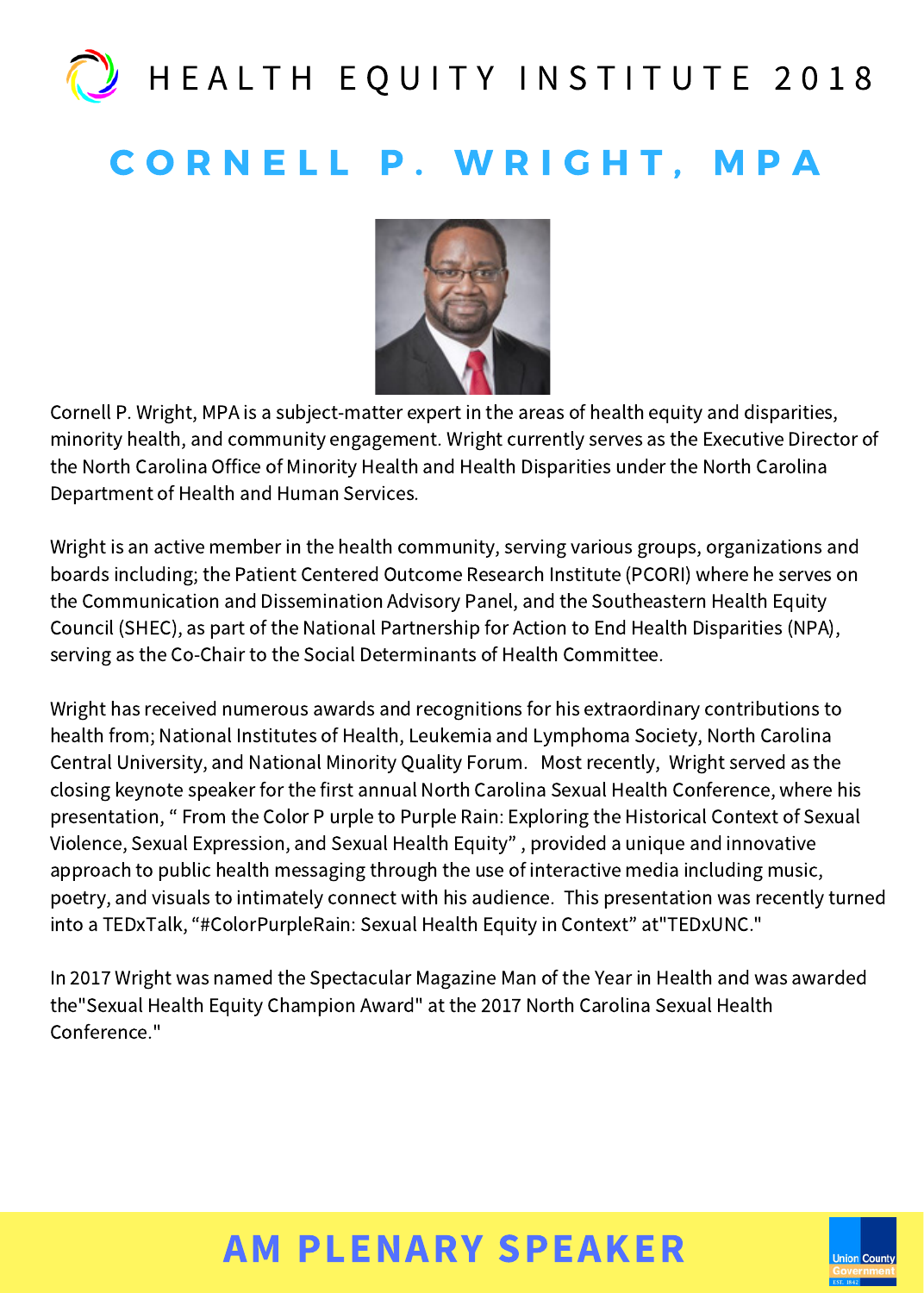# **CORNELL P. WRIGHT, MPA**



Cornell P. Wright, MPA is a subject-matter expert in the areas of health equity and disparities, minority health, and community engagement. Wright currently serves as the Executive Director of the North Carolina Office of Minority Health and Health Disparities under the North Carolina Department of Health and Human Services.

Wright is an active member in the health community, serving various groups, organizations and boards including; the Patient Centered Outcome Research Institute (PCORI) where he serves on the Communication and Dissemination Advisory Panel, and the Southeastern Health Equity Council (SHEC), as part of the National Partnership for Action to End Health Disparities (NPA), serving as the Co-Chair to the Social Determinants of Health Committee.

Wright has received numerous awards and recognitions for his extraordinary contributions to health from; National Institutes of Health, Leukemia and Lymphoma Society, North Carolina Central University, and National Minority Quality Forum. Most recently, Wright served as the closing keynote speaker for the first annual North Carolina Sexual Health Conference, where his presentation, " From the Color P urple to Purple Rain: Exploring the Historical Context of Sexual Violence, Sexual Expression, and Sexual Health Equity" , provided a unique and innovative approach to public health messaging through the use of interactive media including music, poetry, and visuals to intimately connect with his audience. This presentation was recently turned into a TEDxTalk, "#ColorPurpleRain: Sexual Health Equity in Context" at"TEDxUNC."

In 2017 Wright was named the Spectacular Magazine Man of the Year in Health and was awarded the"Sexual Health Equity Champion Award" at the 2017 North Carolina Sexual Health Conference<sup>"</sup>

# AM PLENARY SPEAKER

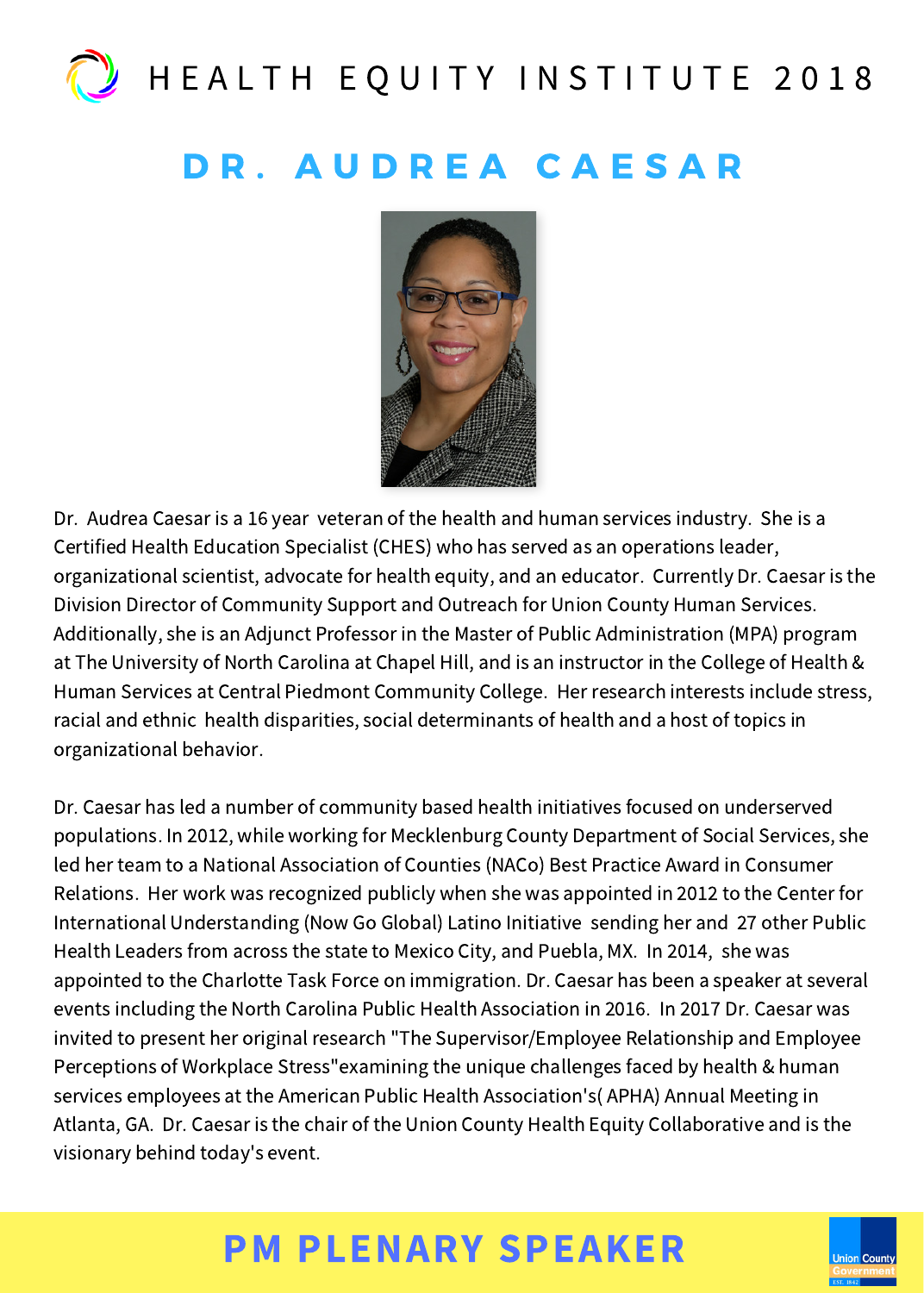## DR. AUDREA CAESAR



Dr. Audrea Caesar is a 16 year veteran of the health and human services industry. She is a Certified Health Education Specialist (CHES) who has served as an operations leader, organizational scientist, advocate for health equity, and an educator. Currently Dr. Caesar is the Division Director of Community Support and Outreach for Union County Human Services. Additionally, she is an Adjunct Professor in the Master of Public Administration (MPA) program at The University of North Carolina at Chapel Hill, and is an instructor in the College of Health & Human Services at Central Piedmont Community College. Her research interests include stress, racial and ethnic health disparities, social determinants of health and a host of topics in organizational behavior.

Dr. Caesar has led a number of community based health initiatives focused on underserved populations. In 2012, while working for Mecklenburg County Department of Social Services, she led her team to a National Association of Counties (NACo) Best Practice Award in Consumer Relations. Her work was recognized publicly when she was appointed in 2012 to the Center for International Understanding (Now Go Global) Latino Initiative sending her and 27 other Public Health Leaders from across the state to Mexico City, and Puebla, MX. In 2014, she was appointed to the Charlotte Task Force on immigration. Dr. Caesar has been a speaker at several events including the North Carolina Public Health Association in 2016. In 2017 Dr. Caesar was invited to present her original research "The Supervisor/Employee Relationship and Employee Perceptions of Workplace Stress"examining the unique challenges faced by health & human services employees at the American Public Health Association's( APHA) Annual Meeting in Atlanta, GA. Dr. Caesar is the chair of the Union County Health Equity Collaborative and is the visionary behind today's event.

# PM PLENARY SPEAKER

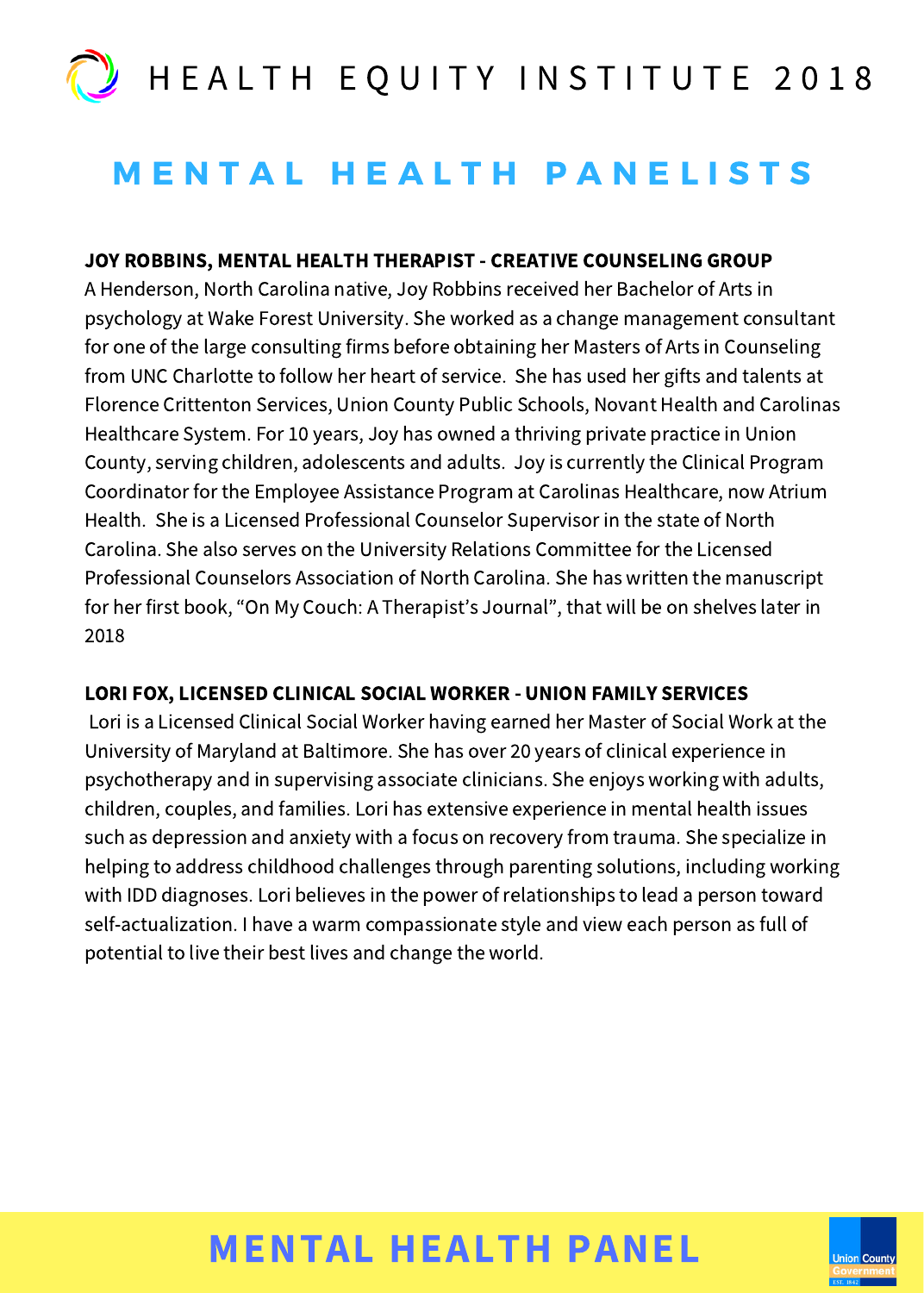# **MENTAL HEALTH PANELISTS**

### JOY ROBBINS, MENTAL HEALTH THERAPIST - CREATIVE COUNSELING GROUP

A Henderson, North Carolina native, Joy Robbins received her Bachelor of Arts in psychology at Wake Forest University. She worked as a change management consultant for one of the large consulting firms before obtaining her Masters of Arts in Counseling from UNC Charlotte to follow her heart of service. She has used her gifts and talents at Florence Crittenton Services, Union County Public Schools, Novant Health and Carolinas Healthcare System. For 10 years, Joy has owned a thriving private practice in Union County, serving children, adolescents and adults. Joy is currently the Clinical Program Coordinator for the Employee Assistance Program at Carolinas Healthcare, now Atrium Health. She is a Licensed Professional Counselor Supervisor in the state of North Carolina. She also serves on the University Relations Committee for the Licensed Professional Counselors Association of North Carolina. She has written the manuscript for her first book, "On My Couch: A Therapist's Journal", that will be on shelves later in 2018

### LORI FOX, LICENSED CLINICAL SOCIAL WORKER - UNION FAMILY SERVICES

Lori is a Licensed Clinical Social Worker having earned her Master of Social Work at the University of Maryland at Baltimore. She has over 20 years of clinical experience in psychotherapy and in supervising associate clinicians. She enjoys working with adults, children, couples, and families. Lori has extensive experience in mental health issues such as depression and anxiety with a focus on recovery from trauma. She specialize in helping to address childhood challenges through parenting solutions, including working with IDD diagnoses. Lori believes in the power of relationships to lead a person toward self-actualization. I have a warm compassionate style and view each person as full of potential to live their best lives and change the world.

# MENTAL HEALTH PANEL

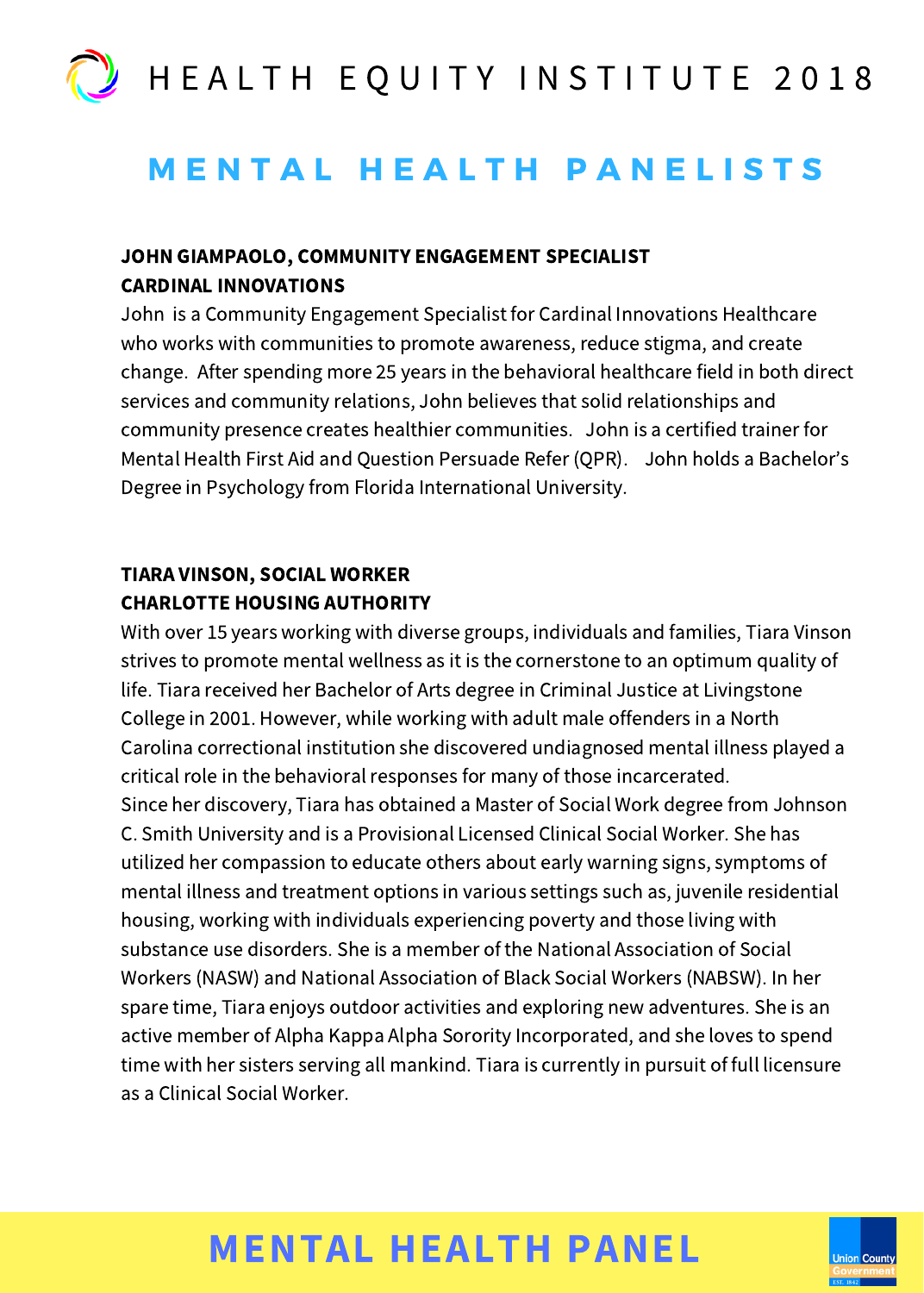### **MENTAL HEALTH PANELISTS**

### JOHN GIAMPAOLO, COMMUNITY ENGAGEMENT SPECIALIST CARDINAL INNOVATIONS

John is a Community Engagement Specialist for Cardinal Innovations Healthcare who works with communities to promote awareness, reduce stigma, and create change. After spending more 25 years in the behavioral healthcare field in both direct services and community relations, John believes that solid relationships and community presence creates healthier communities. John is a certified trainer for Mental Health First Aid and Question Persuade Refer (QPR). John holds a Bachelor's Degree in Psychology from Florida International University.

### TIARA VINSON, SOCIAL WORKER CHARLOTTE HOUSING AUTHORITY

With over 15 years working with diverse groups, individuals and families, Tiara Vinson strives to promote mental wellness as it is the cornerstone to an optimum quality of life. Tiara received her Bachelor of Arts degree in Criminal Justice at Livingstone College in 2001. However, while working with adult male offenders in a North Carolina correctional institution she discovered undiagnosed mental illness played a critical role in the behavioral responses for many of those incarcerated. Since her discovery, Tiara has obtained a Master of Social Work degree from Johnson C. Smith University and is a Provisional Licensed Clinical Social Worker. She has utilized her compassion to educate others about early warning signs, symptoms of mental illness and treatment options in various settings such as, juvenile residential housing, working with individuals experiencing poverty and those living with substance use disorders. She is a member of the National Association of Social Workers (NASW) and National Association of Black Social Workers (NABSW). In her spare time, Tiara enjoys outdoor activities and exploring new adventures. She is an active member of Alpha Kappa Alpha Sorority Incorporated, and she loves to spend time with her sisters serving all mankind. Tiara is currently in pursuit of full licensure as a Clinical Social Worker.

# MENTAL HEALTH PANEL

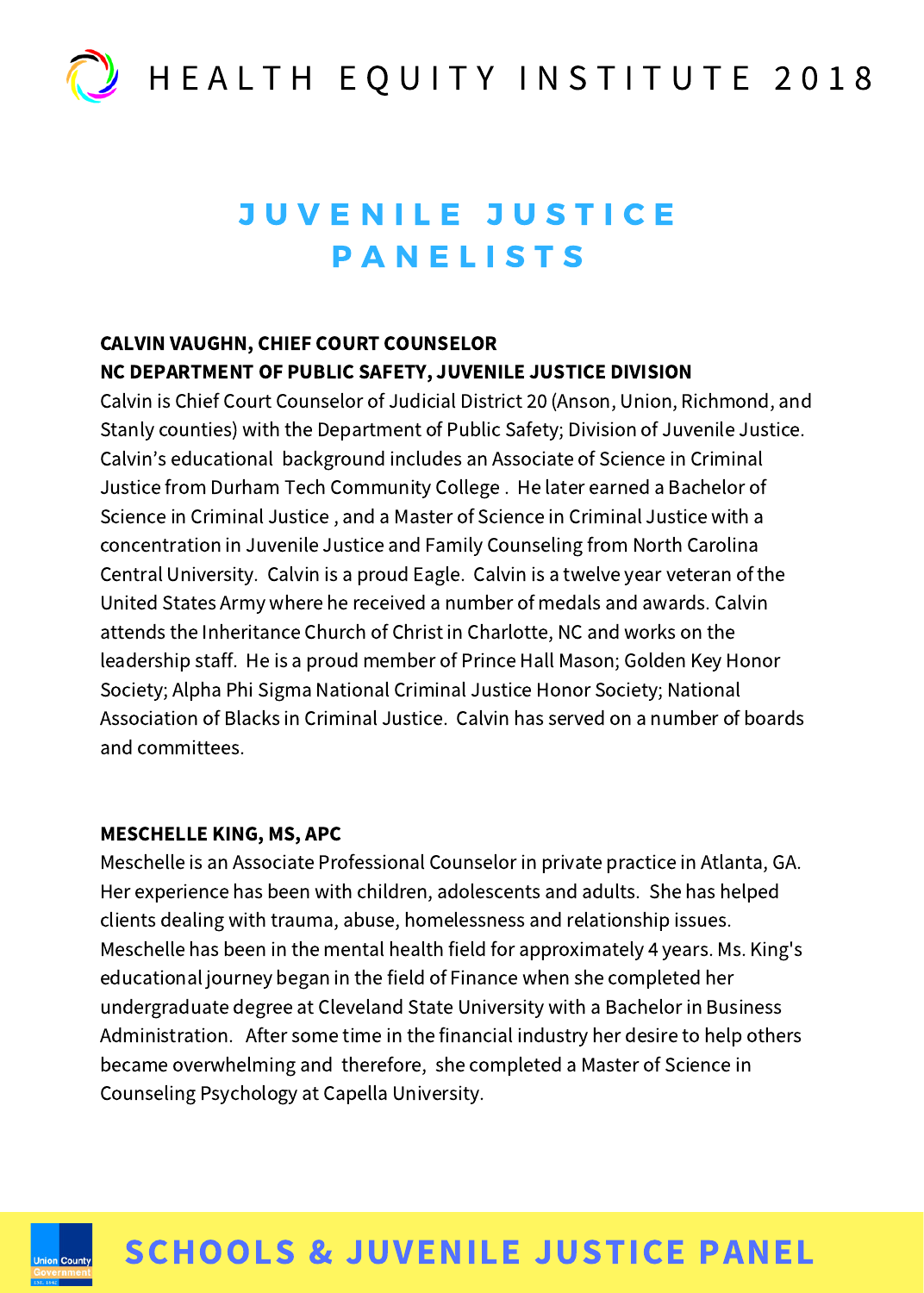# JUVENILE JUSTICE **PANELISTS**

### CALVIN VAUGHN, CHIEF COURT COUNSELOR NC DEPARTMENT OF PUBLIC SAFETY, JUVENILE JUSTICE DIVISION

Calvin is Chief Court Counselor of Judicial District 20 (Anson, Union, Richmond, and Stanly counties) with the Department of Public Safety; Division of Juvenile Justice. Calvin's educational background includes an Associate of Science in Criminal Justice from Durham Tech Community College . He later earned a Bachelor of Science in Criminal Justice , and a Master of Science in Criminal Justice with a concentration in Juvenile Justice and Family Counseling from North Carolina Central University. Calvin is a proud Eagle. Calvin is a twelve year veteran of the United States Army where he received a number of medals and awards. Calvin attends the Inheritance Church of Christ in Charlotte, NC and works on the leadership staff. He is a proud member of Prince Hall Mason; Golden Key Honor Society; Alpha Phi Sigma National Criminal Justice Honor Society; National Association of Blacks in Criminal Justice. Calvin has served on a number of boards and committees.

### MESCHELLE KING, MS, APC

Meschelle is an Associate Professional Counselor in private practice in Atlanta, GA. Her experience has been with children, adolescents and adults. She has helped clients dealing with trauma, abuse, homelessness and relationship issues. Meschelle has been in the mental health field for approximately 4 years. Ms. King's educational journey began in the field of Finance when she completed her undergraduate degree at Cleveland State University with a Bachelor in Business Administration. After some time in the financial industry her desire to help others became overwhelming and therefore, she completed a Master of Science in Counseling Psychology at Capella University.



# SCHOOLS & JUVENILE JUSTICE PANEL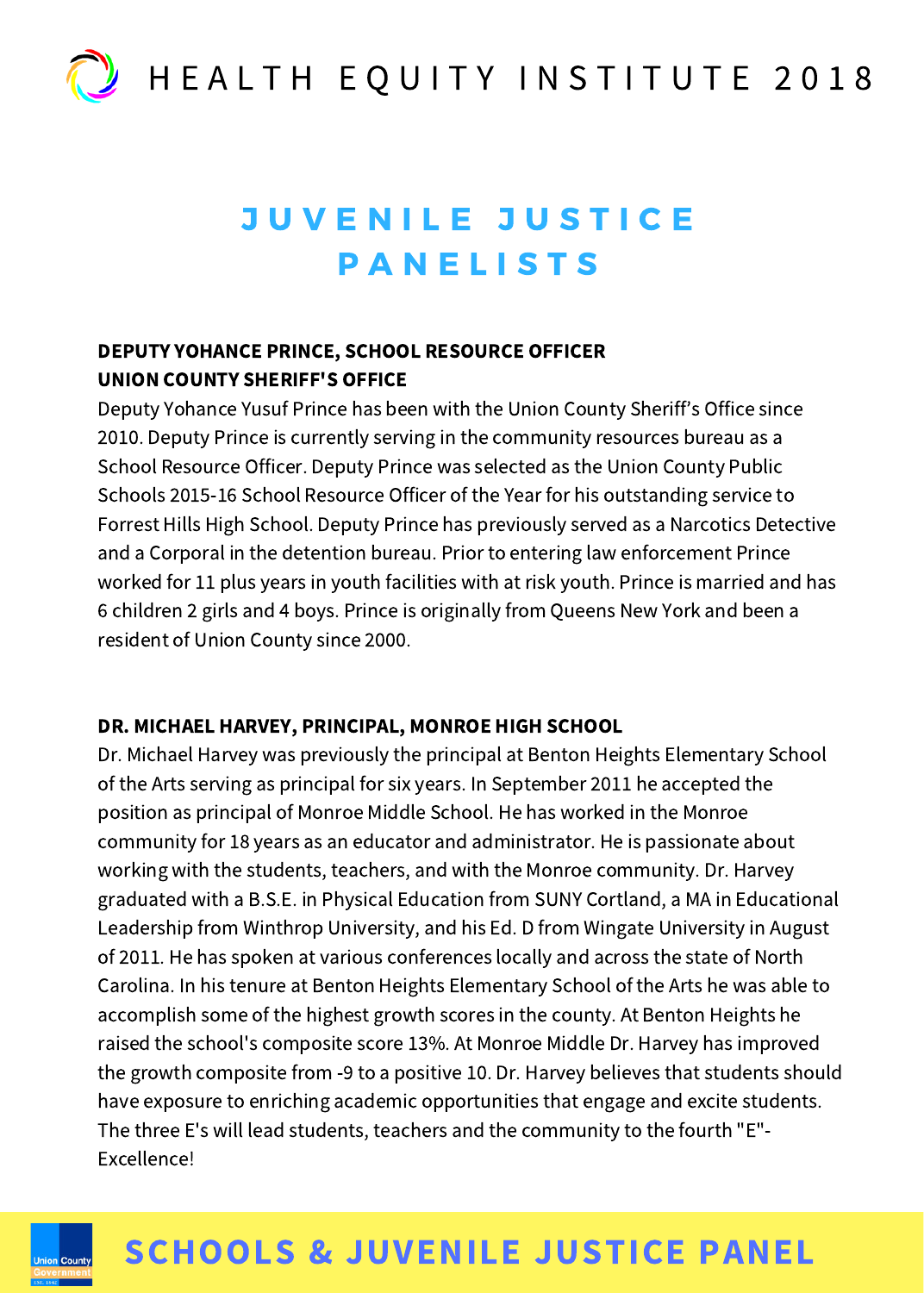

# JUVENILE JUSTICE **PANELISTS**

### DEPUTY YOHANCE PRINCE, SCHOOL RESOURCE OFFICER UNION COUNTY SHERIFF'S OFFICE

Deputy Yohance Yusuf Prince has been with the Union County Sheriff's Office since 2010. Deputy Prince is currently serving in the community resources bureau as a School Resource Officer. Deputy Prince was selected as the Union County Public Schools 2015-16 School Resource Officer of the Year for his outstanding service to Forrest Hills High School. Deputy Prince has previously served as a Narcotics Detective and a Corporal in the detention bureau. Prior to entering law enforcement Prince worked for 11 plus years in youth facilities with at risk youth. Prince is married and has 6 children 2 girls and 4 boys. Prince is originally from Queens New York and been a resident of Union County since 2000.

### DR. MICHAEL HARVEY, PRINCIPAL, MONROE HIGH SCHOOL

Dr. Michael Harvey was previously the principal at Benton Heights Elementary School of the Arts serving as principal for six years. In September 2011 he accepted the position as principal of Monroe Middle School. He has worked in the Monroe community for 18 years as an educator and administrator. He is passionate about working with the students, teachers, and with the Monroe community. Dr. Harvey graduated with a B.S.E. in Physical Education from SUNY Cortland, a MA in Educational Leadership from Winthrop University, and his Ed. D from Wingate University in August of 2011. He has spoken at various conferences locally and across the state of North Carolina. In his tenure at Benton Heights Elementary School of the Arts he was able to accomplish some of the highest growth scores in the county. At Benton Heights he raised the school's composite score 13%. At Monroe Middle Dr. Harvey has improved the growth composite from -9 to a positive 10. Dr. Harvey believes that students should have exposure to enriching academic opportunities that engage and excite students. The three E's will lead students, teachers and the community to the fourth "E"- Excellence!



### SCHOOLS & JUVENILE JUSTICE PANEL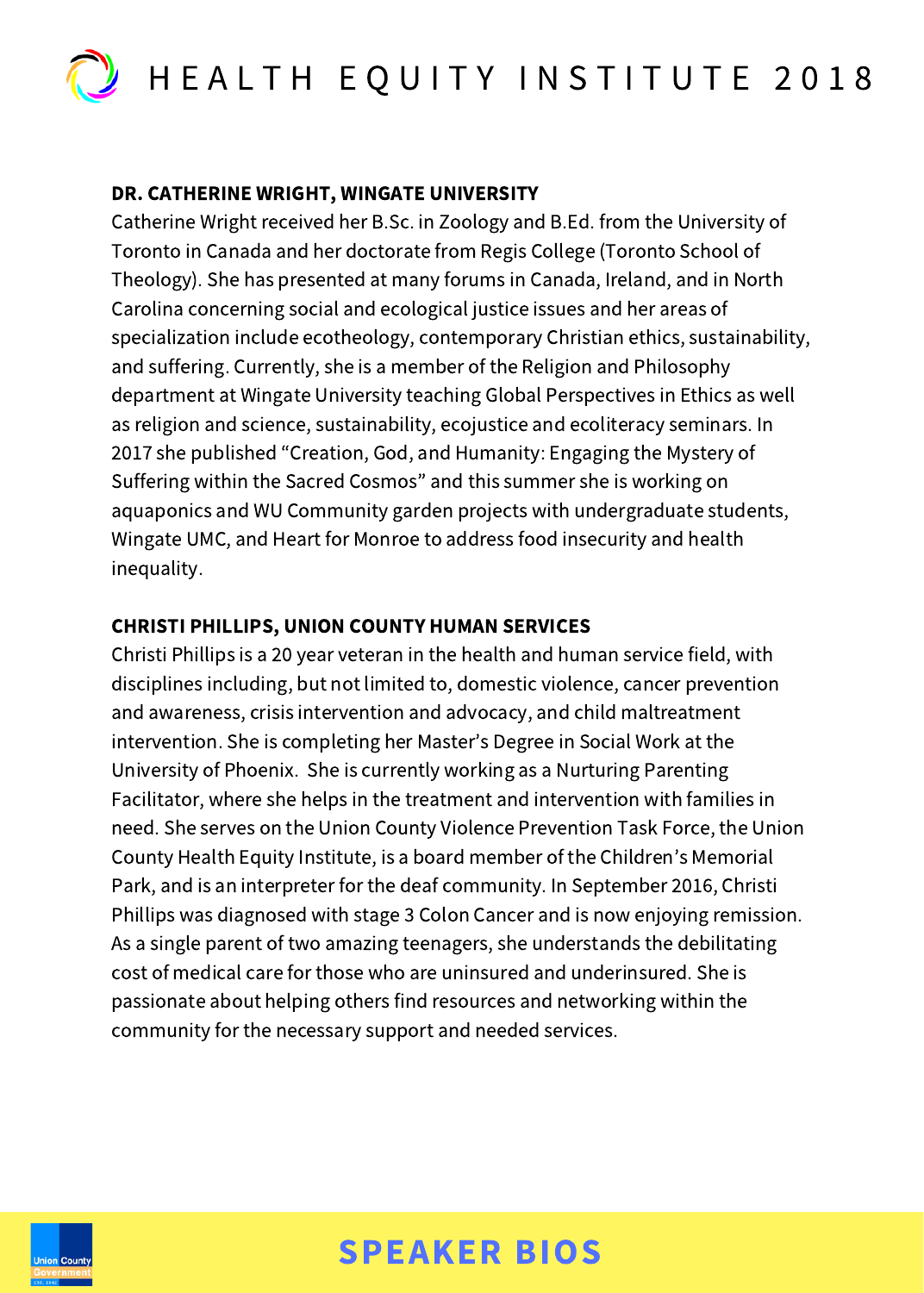

### DR. CATHERINE WRIGHT, WINGATE UNIVERSITY

Catherine Wright received her B.Sc. in Zoology and B.Ed. from the University of Toronto in Canada and her doctorate from Regis College (Toronto School of Theology). She has presented at many forums in Canada, Ireland, and in North Carolina concerning social and ecological justice issues and her areas of specialization include ecotheology, contemporary Christian ethics, sustainability, and suffering. Currently, she is a member of the Religion and Philosophy department at Wingate University teaching Global Perspectives in Ethics as well as religion and science, sustainability, ecojustice and ecoliteracy seminars. In 2017 she published "Creation, God, and Humanity: Engaging the Mystery of Suffering within the Sacred Cosmos" and this summer she is working on aquaponics and WU Community garden projects with undergraduate students, Wingate UMC, and Heart for Monroe to address food insecurity and health inequality.

### CHRISTI PHILLIPS, UNION COUNTY HUMAN SERVICES

Christi Phillips is a 20 year veteran in the health and human service field, with disciplines including, but not limited to, domestic violence, cancer prevention and awareness, crisis intervention and advocacy, and child maltreatment intervention. She is completing her Master's Degree in Social Work at the University of Phoenix. She is currently working as a Nurturing Parenting Facilitator, where she helps in the treatment and intervention with families in need. She serves on the Union County Violence Prevention Task Force, the Union County Health Equity Institute, is a board member of the Children's Memorial Park, and is an interpreter for the deaf community. In September 2016, Christi Phillips was diagnosed with stage 3 Colon Cancer and is now enjoying remission. As a single parent of two amazing teenagers, she understands the debilitating cost of medical care for those who are uninsured and underinsured. She is passionate about helping others find resources and networking within the community for the necessary support and needed services.

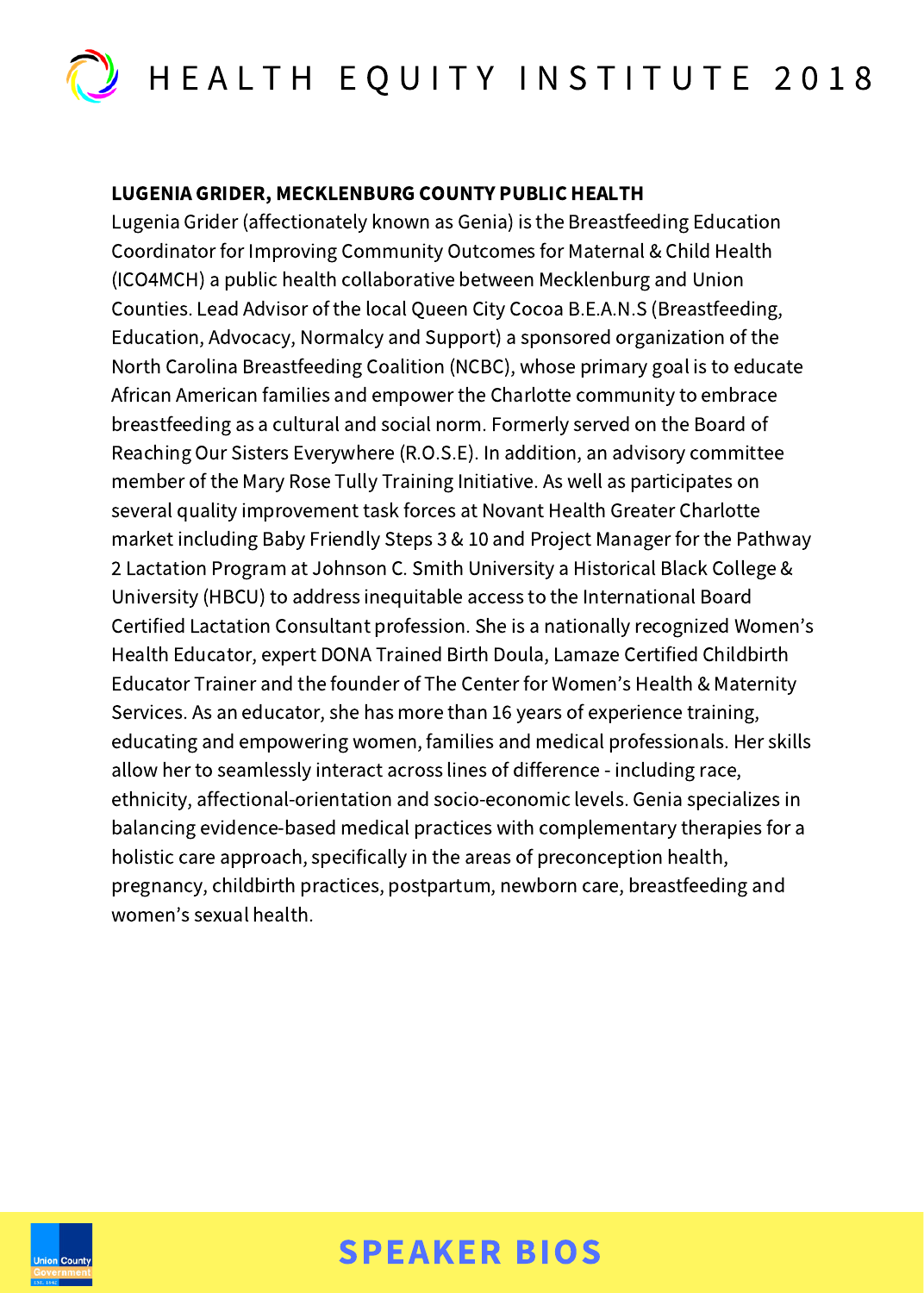

### LUGENIA GRIDER, MECKLENBURG COUNTY PUBLIC HEALTH

Lugenia Grider (affectionately known as Genia) is the Breastfeeding Education Coordinator for Improving Community Outcomes for Maternal & Child Health (ICO4MCH) a public health collaborative between Mecklenburg and Union Counties. Lead Advisor of the local Queen City Cocoa B.E.A.N.S (Breastfeeding, Education, Advocacy, Normalcy and Support) a sponsored organization of the North Carolina Breastfeeding Coalition (NCBC), whose primary goal is to educate African American families and empower the Charlotte community to embrace breastfeeding as a cultural and social norm. Formerly served on the Board of Reaching Our Sisters Everywhere (R.O.S.E). In addition, an advisory committee member of the Mary Rose Tully Training Initiative. As well as participates on several quality improvement task forces at Novant Health Greater Charlotte market including Baby Friendly Steps 3 & 10 and Project Manager for the Pathway 2 Lactation Program at Johnson C. Smith University a Historical Black College & University (HBCU) to address inequitable access to the International Board Certified Lactation Consultant profession. She is a nationally recognized Women's Health Educator, expert DONA Trained Birth Doula, Lamaze Certified Childbirth Educator Trainer and the founder of The Center for Women's Health & Maternity Services. As an educator, she has more than 16 years of experience training, educating and empowering women, families and medical professionals. Her skills allow her to seamlessly interact across lines of difference - including race, ethnicity, affectional-orientation and socio-economic levels. Genia specializes in balancing evidence-based medical practices with complementary therapies for a holistic care approach, specifically in the areas of preconception health, pregnancy, childbirth practices, postpartum, newborn care, breastfeeding and women's sexual health.

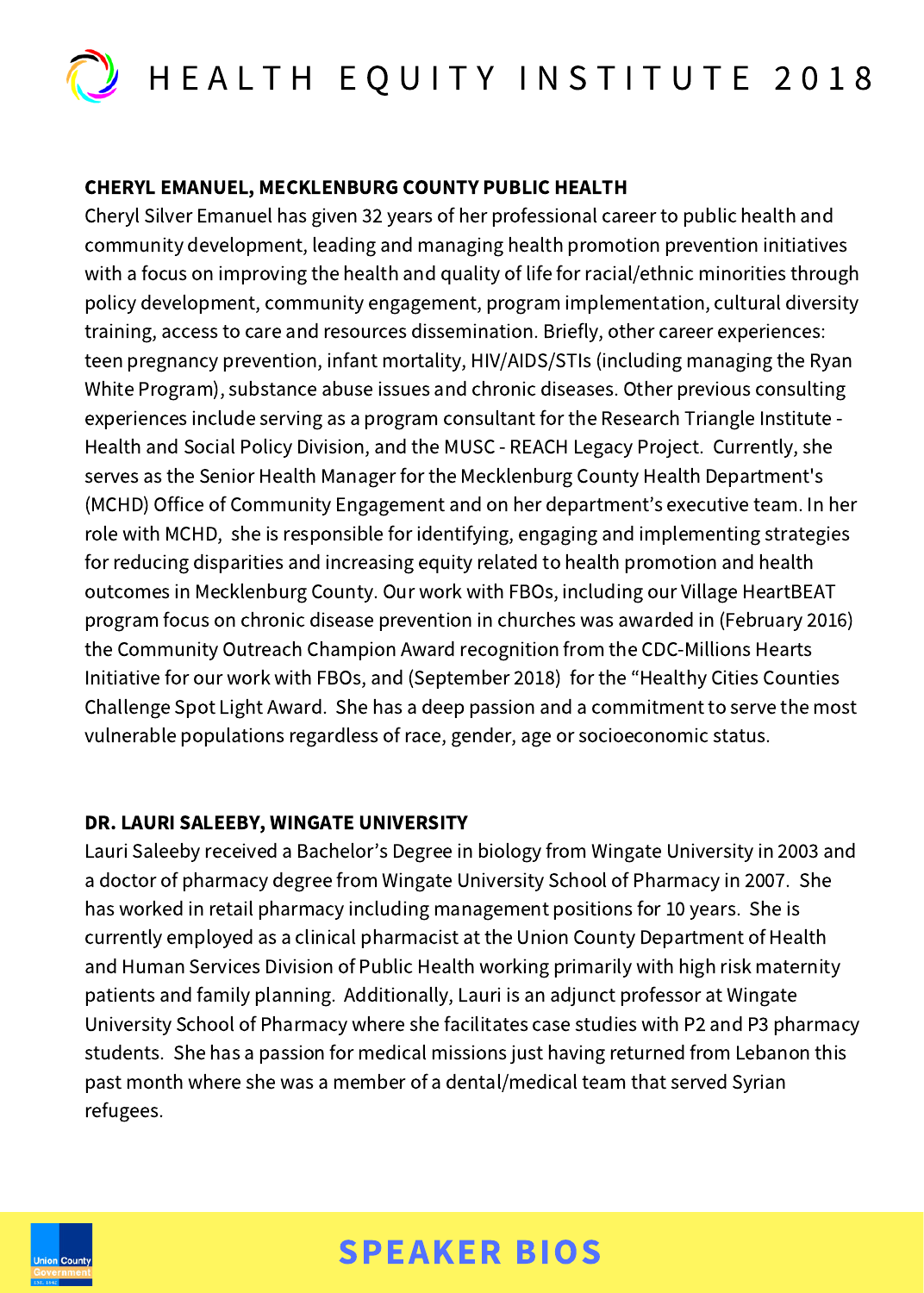

### CHERYL EMANUEL, MECKLENBURG COUNTY PUBLIC HEALTH

Cheryl Silver Emanuel has given 32 years of her professional career to public health and community development, leading and managing health promotion prevention initiatives with a focus on improving the health and quality of life for racial/ethnic minorities through policy development, community engagement, program implementation, cultural diversity training, access to care and resources dissemination. Briefly, other career experiences: teen pregnancy prevention, infant mortality, HIV/AIDS/STIs (including managing the Ryan White Program), substance abuse issues and chronic diseases. Other previous consulting experiences include serving as a program consultant for the Research Triangle Institute - Health and Social Policy Division, and the MUSC - REACH Legacy Project. Currently, she serves as the Senior Health Manager for the Mecklenburg County Health Department's (MCHD) Office of Community Engagement and on her department's executive team. In her role with MCHD, she is responsible for identifying, engaging and implementing strategies for reducing disparities and increasing equity related to health promotion and health outcomes in Mecklenburg County. Our work with FBOs, including our Village HeartBEAT program focus on chronic disease prevention in churches was awarded in (February 2016) the Community Outreach Champion Award recognition from the CDC-Millions Hearts Initiative for our work with FBOs, and (September 2018) for the "Healthy Cities Counties Challenge Spot Light Award. She has a deep passion and a commitment to serve the most vulnerable populations regardless of race, gender, age or socioeconomic status.

### DR. LAURI SALEEBY, WINGATE UNIVERSITY

Lauri Saleeby received a Bachelor's Degree in biology from Wingate University in 2003 and a doctor of pharmacy degree from Wingate University School of Pharmacy in 2007. She has worked in retail pharmacy including management positions for 10 years. She is currently employed as a clinical pharmacist at the Union County Department of Health and Human Services Division of Public Health working primarily with high risk maternity patients and family planning. Additionally, Lauri is an adjunct professor at Wingate University School of Pharmacy where she facilitates case studies with P2 and P3 pharmacy students. She has a passion for medical missions just having returned from Lebanon this past month where she was a member of a dental/medical team that served Syrian refugees.

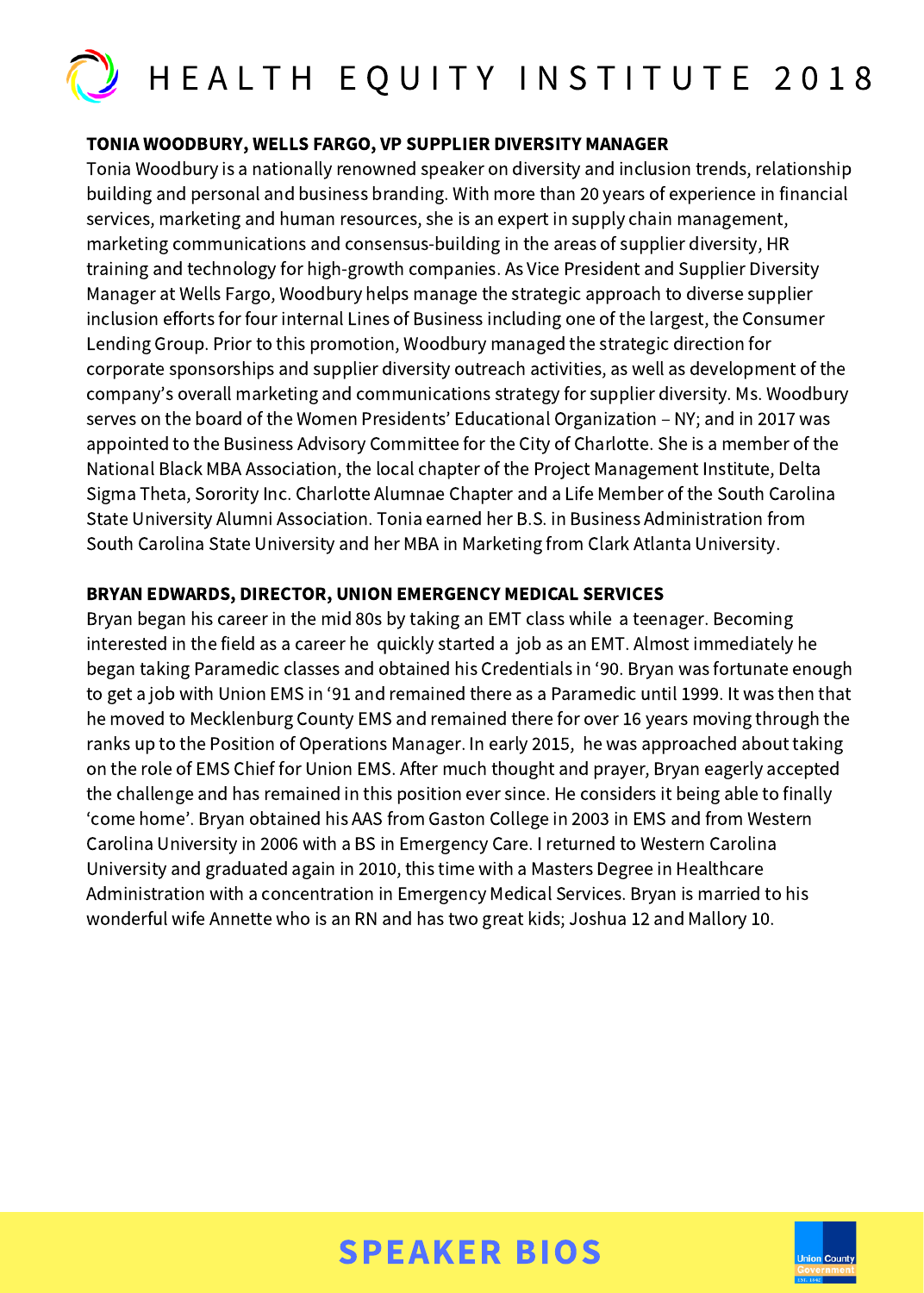

#### TONIA WOODBURY, WELLS FARGO, VP SUPPLIER DIVERSITY MANAGER

Tonia Woodbury is a nationally renowned speaker on diversity and inclusion trends, relationship building and personal and business branding. With more than 20 years of experience in financial services, marketing and human resources, she is an expert in supply chain management, marketing communications and consensus-building in the areas of supplier diversity, HR training and technology for high-growth companies. As Vice President and Supplier Diversity Manager at Wells Fargo, Woodbury helps manage the strategic approach to diverse supplier inclusion efforts for four internal Lines of Business including one of the largest, the Consumer Lending Group. Prior to this promotion, Woodbury managed the strategic direction for corporate sponsorships and supplier diversity outreach activities, as well as development of the company's overall marketing and communications strategy for supplier diversity. Ms. Woodbury serves on the board of the Women Presidents' Educational Organization – NY; and in 2017 was appointed to the Business Advisory Committee for the City of Charlotte. She is a member of the National Black MBA Association, the local chapter of the Project Management Institute, Delta Sigma Theta, Sorority Inc. Charlotte Alumnae Chapter and a Life Member of the South Carolina State University Alumni Association. Tonia earned her B.S. in Business Administration from South Carolina State University and her MBA in Marketing from Clark Atlanta University.

#### BRYAN EDWARDS, DIRECTOR, UNION EMERGENCY MEDICAL SERVICES

Bryan began his career in the mid 80s by taking an EMT class while a teenager. Becoming interested in the field as a career he quickly started a job as an EMT. Almost immediately he began taking Paramedic classes and obtained his Credentials in '90. Bryan was fortunate enough to get a job with Union EMS in '91 and remained there as a Paramedic until 1999. It was then that he moved to Mecklenburg County EMS and remained there for over 16 years moving through the ranks up to the Position of Operations Manager. In early 2015, he was approached about taking on the role of EMS Chief for Union EMS. After much thought and prayer, Bryan eagerly accepted the challenge and has remained in this position ever since. He considers it being able to finally 'come home'. Bryan obtained his AAS from Gaston College in 2003 in EMS and from Western Carolina University in 2006 with a BS in Emergency Care. I returned to Western Carolina University and graduated again in 2010, this time with a Masters Degree in Healthcare Administration with a concentration in Emergency Medical Services. Bryan is married to his wonderful wife Annette who is an RN and has two great kids; Joshua 12 and Mallory 10.

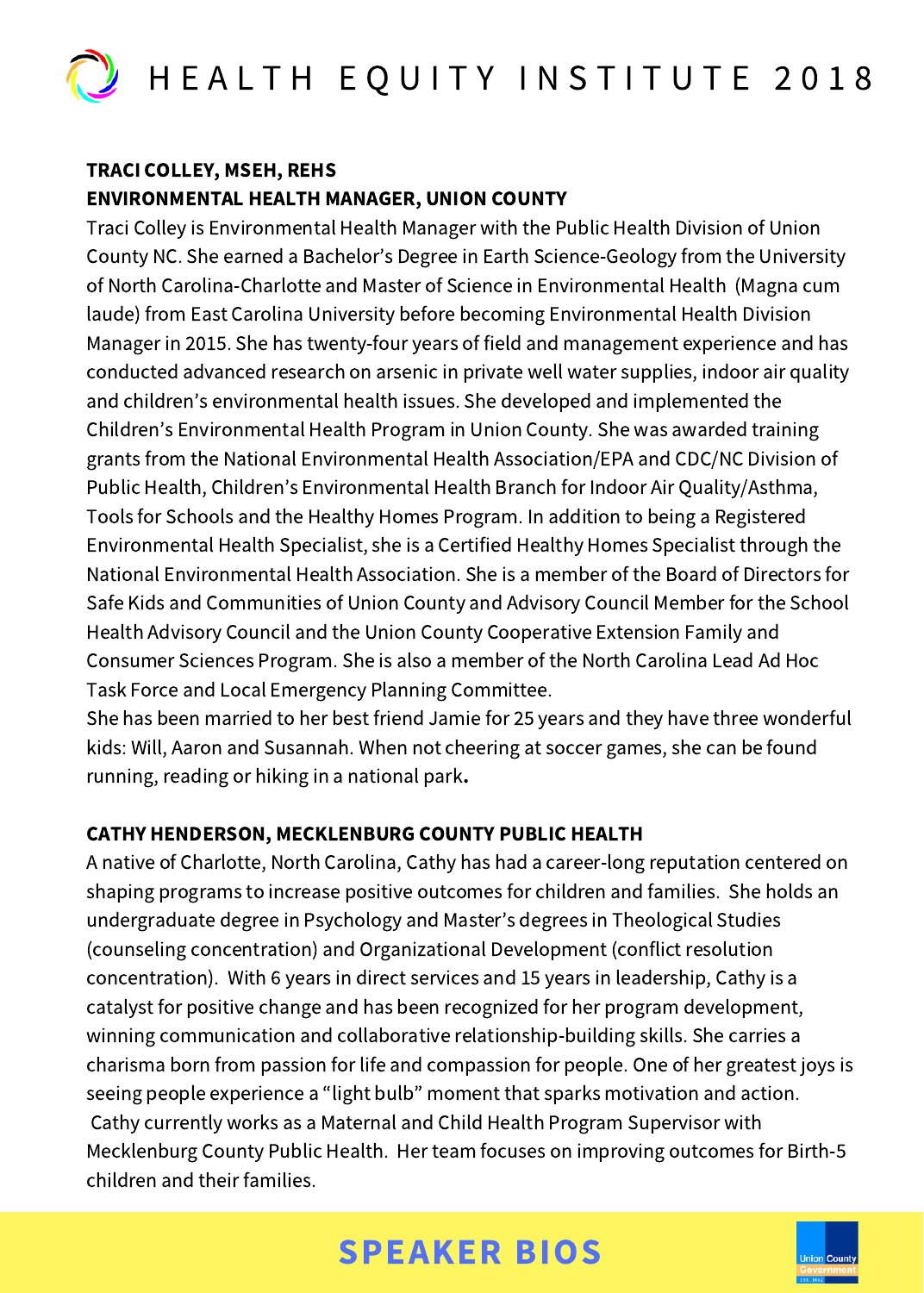

### TRACI COLLEY, MSEH, REHS ENVIRONMENTAL HEALTH MANAGER, UNION COUNTY

Traci Colley is Environmental Health Manager with the Public Health Division of Union County NC. She earned a Bachelor's Degree in Earth Science-Geology from the University of North Carolina-Charlotte and Master of Science in Environmental Health (Magna cum laude) from East Carolina University before becoming Environmental Health Division Manager in 2015. She has twenty-four years of field and management experience and has conducted advanced research on arsenic in private well water supplies, indoor air quality and children's environmental health issues. She developed and implemented the Children's Environmental Health Program in Union County. She was awarded training grants from the National Environmental Health Association/EPA and CDC/NC Division of Public Health, Children's Environmental Health Branch for Indoor Air Quality/Asthma, Tools for Schools and the Healthy Homes Program. In addition to being a Registered Environmental Health Specialist, she is a Certified Healthy Homes Specialist through the National Environmental Health Association. She is a member of the Board of Directors for Safe Kids and Communities of Union County and Advisory Council Member for the School Health Advisory Council and the Union County Cooperative Extension Family and Consumer Sciences Program. She is also a member of the North Carolina Lead Ad Hoc Task Force and Local Emergency Planning Committee.

She has been married to her best friend Jamie for 25 years and they have three wonderful kids: Will, Aaron and Susannah. When not cheering at soccer games, she can be found running, reading or hiking in a national park.

### CATHY HENDERSON, MECKLENBURG COUNTY PUBLIC HEALTH

A native of Charlotte, North Carolina, Cathy has had a career-long reputation centered on shaping programs to increase positive outcomes for children and families. She holds an undergraduate degree in Psychology and Master's degrees in Theological Studies (counseling concentration) and Organizational Development (conflict resolution concentration). With 6 years in direct services and 15 years in leadership, Cathy is a catalyst for positive change and has been recognized for her program development, winning communication and collaborative relationship-building skills. She carries a charisma born from passion for life and compassion for people. One of her greatest joys is seeing people experience a "light bulb" moment that sparks motivation and action. Cathy currently works as a Maternal and Child Health Program Supervisor with Mecklenburg County Public Health. Her team focuses on improving outcomes for Birth-5 children and their families.

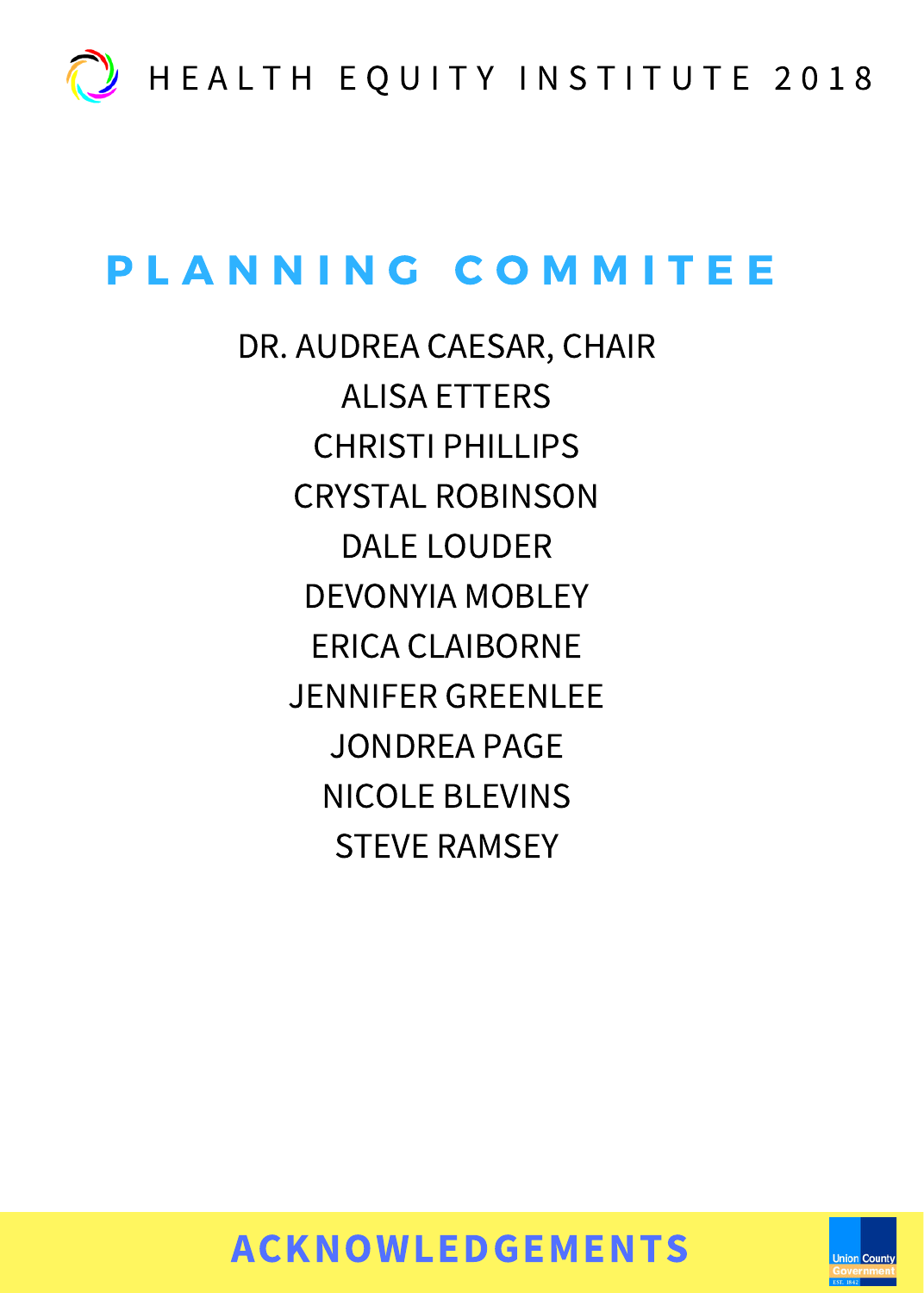

# PLANNING COMMITEE

DR. AUDREA CAESAR, CHAIR ALISA ETTERS CHRISTI PHILLIPS CRYSTAL ROBINSON DALE LOUDER DEVONYIA MOBLEY ERICA CLAIBORNE JENNIFER GREENLEE JONDREA PAGE NICOLE BLEVINS STEVE RAMSEY

ACKNOWLEDGEMENTS